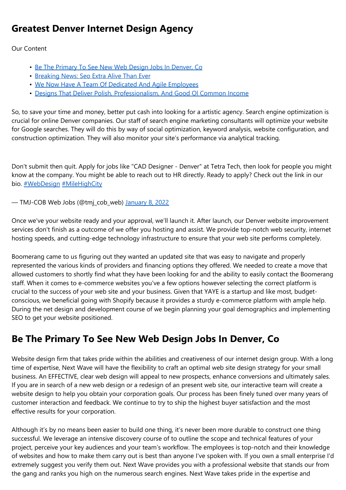# **Greatest Denver Internet Design Agency**

Our Content

- Be The Primary To See New Web Design Jobs In Denver, Co
- Breaking News: Seo Extra Alive Than Ever
- We Now Have A Team Of Dedicated And Agile Employees
- Designs That Deliver Polish, Professionalism, And Good Ol Common Income

So, to save your time and money, better put cash into looking for a artistic agency. Search engine optimization is crucial for online Denver companies. Our staff of search engine marketing consultants will optimize your website for Google searches. They will do this by way of social optimization, keyword analysis, website configuration, and construction optimization. They will also monitor your site's performance via analytical tracking.

Don't submit then quit. Apply for jobs like "CAD Designer - Denver" at Tetra Tech, then look for people you might know at the company. You might be able to reach out to HR directly. Ready to apply? Check out the link in our bio. [#WebDesign](https://twitter.com/hashtag/WebDesign?src=hash&ref_src=twsrc%5Etfw) [#MileHighCity](https://twitter.com/hashtag/MileHighCity?src=hash&ref_src=twsrc%5Etfw)

— TMJ-COB Web Jobs (@tmj\_cob\_web) [January](https://twitter.com/tmj_cob_web/status/1479964407434080256?ref_src=twsrc%5Etfw) 8, 2022

Once we've your website ready and your approval, we'll launch it. After launch, our Denver website improvement services don't finish as a outcome of we offer you hosting and assist. We provide top-notch web security, internet hosting speeds, and cutting-edge technology infrastructure to ensure that your web site performs completely.

Boomerang came to us figuring out they wanted an updated site that was easy to navigate and properly represented the various kinds of providers and financing options they offered. We needed to create a move that allowed customers to shortly find what they have been looking for and the ability to easily contact the Boomerang staff. When it comes to e-commerce websites you've a few options however selecting the correct platform is crucial to the success of your web site and your business. Given that YAYE is a startup and like most, budgetconscious, we beneficial going with Shopify because it provides a sturdy e-commerce platform with ample help. During the net design and development course of we begin planning your goal demographics and implementing SEO to get your website positioned.

# **Be The Primary To See New Web Design Jobs In Denver, Co**

Website design firm that takes pride within the abilities and creativeness of our internet design group. With a long time of expertise, Next Wave will have the flexibility to craft an optimal web site design strategy for your small business. An EFFECTIVE, clear web design will appeal to new prospects, enhance conversions and ultimately sales. If you are in search of a new web design or a redesign of an present web site, our interactive team will create a website design to help you obtain your corporation goals. Our process has been finely tuned over many years of customer interaction and feedback. We continue to try to ship the highest buyer satisfaction and the most effective results for your corporation.

Although it's by no means been easier to build one thing, it's never been more durable to construct one thing successful. We leverage an intensive discovery course of to outline the scope and technical features of your project, perceive your key audiences and your team's workflow. The employees is top-notch and their knowledge of websites and how to make them carry out is best than anyone I've spoken with. If you own a small enterprise I'd extremely suggest you verify them out. Next Wave provides you with a professional website that stands our from the gang and ranks you high on the numerous search engines. Next Wave takes pride in the expertise and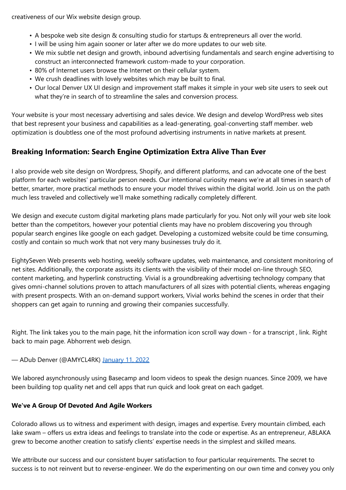creativeness of our Wix website design group.

- A bespoke web site design & consulting studio for startups & entrepreneurs all over the world.
- I will be using him again sooner or later after we do more updates to our web site.
- We mix subtle net design and growth, inbound advertising fundamentals and search engine advertising to construct an interconnected framework custom-made to your corporation.
- 80% of Internet users browse the Internet on their cellular system.
- We crush deadlines with lovely websites which may be built to final.
- Our local Denver UX UI design and improvement staff makes it simple in your web site users to seek out what they're in search of to streamline the sales and conversion process.

Your website is your most necessary advertising and sales device. We design and develop WordPress web sites that best represent your business and capabilities as a lead-generating, goal-converting staff member. web optimization is doubtless one of the most profound advertising instruments in native markets at present.

## **Breaking Information: Search Engine Optimization Extra Alive Than Ever**

I also provide web site design on Wordpress, Shopify, and different platforms, and can advocate one of the best platform for each websites' particular person needs. Our intentional curiosity means we're at all times in search of better, smarter, more practical methods to ensure your model thrives within the digital world. Join us on the path much less traveled and collectively we'll make something radically completely different.

We design and execute custom digital marketing plans made particularly for you. Not only will your web site look better than the competitors, however your potential clients may have no problem discovering you through popular search engines like google on each gadget. Developing a customized website could be time consuming, costly and contain so much work that not very many businesses truly do it.

EightySeven Web presents web hosting, weekly software updates, web maintenance, and consistent monitoring of net sites. Additionally, the corporate assists its clients with the visibility of their model on-line through SEO, content marketing, and hyperlink constructing. Vivial is a groundbreaking advertising technology company that gives omni-channel solutions proven to attach manufacturers of all sizes with potential clients, whereas engaging with present prospects. With an on-demand support workers, Vivial works behind the scenes in order that their shoppers can get again to running and growing their companies successfully.

Right. The link takes you to the main page, hit the information icon scroll way down - for a transcript , link. Right back to main page. Abhorrent web design.

#### — ADub Denver (@AMYCL4RK) [January](https://twitter.com/AMYCL4RK/status/1480926362382872576?ref_src=twsrc%5Etfw) 11, 2022

We labored asynchronously using Basecamp and loom videos to speak the design nuances. Since 2009, we have been building top quality net and cell apps that run quick and look great on each gadget.

#### **We've A Group Of Devoted And Agile Workers**

Colorado allows us to witness and experiment with design, images and expertise. Every mountain climbed, each lake swam – offers us extra ideas and feelings to translate into the code or expertise. As an entrepreneur, ABLAKA grew to become another creation to satisfy clients' expertise needs in the simplest and skilled means.

We attribute our success and our consistent buyer satisfaction to four particular requirements. The secret to success is to not reinvent but to reverse-engineer. We do the experimenting on our own time and convey you only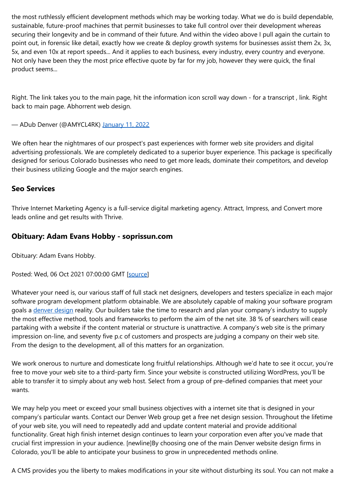the most ruthlessly efficient development methods which may be working today. What we do is build dependable, sustainable, future-proof machines that permit businesses to take full control over their development whereas securing their longevity and be in command of their future. And within the video above I pull again the curtain to point out, in forensic like detail, exactly how we create & deploy growth systems for businesses assist them 2x, 3x, 5x, and even 10x at report speeds... And it applies to each business, every industry, every country and everyone. Not only have been they the most price effective quote by far for my job, however they were quick, the final product seems...

Right. The link takes you to the main page, hit the information icon scroll way down - for a transcript , link. Right back to main page. Abhorrent web design.

— ADub Denver (@AMYCL4RK) [January](https://twitter.com/AMYCL4RK/status/1480926362382872576?ref_src=twsrc%5Etfw) 11, 2022

We often hear the nightmares of our prospect's past experiences with former web site providers and digital advertising professionals. We are completely dedicated to a superior buyer experience. This package is specifically designed for serious Colorado businesses who need to get more leads, dominate their competitors, and develop their business utilizing Google and the major search engines.

### **Seo Services**

Thrive Internet Marketing Agency is a full-service digital marketing agency. Attract, Impress, and Convert more leads online and get results with Thrive.

### **Obituary: Adam Evans Hobby - soprissun.com**

Obituary: Adam Evans Hobby.

Posted: Wed, 06 Oct 2021 07:00:00 GMT [\[source](https://soprissun.com/2021/10/06/obituary-adam-evans-hobby/)]

Whatever your need is, our various staff of full stack net designers, developers and testers specialize in each major software program development platform obtainable. We are absolutely capable of making your software program goals a [denver](https://denverdigitalagency.com/denver-web-design/) design reality. Our builders take the time to research and plan your company's industry to supply the most effective method, tools and frameworks to perform the aim of the net site. 38 % of searchers will cease partaking with a website if the content material or structure is unattractive. A company's web site is the primary impression on-line, and seventy five p.c of customers and prospects are judging a company on their web site. From the design to the development, all of this matters for an organization.

We work onerous to nurture and domesticate long fruitful relationships. Although we'd hate to see it occur, you're free to move your web site to a third-party firm. Since your website is constructed utilizing WordPress, you'll be able to transfer it to simply about any web host. Select from a group of pre-defined companies that meet your wants.

We may help you meet or exceed your small business objectives with a internet site that is designed in your company's particular wants. Contact our Denver Web group get a free net design session. Throughout the lifetime of your web site, you will need to repeatedly add and update content material and provide additional functionality. Great high finish internet design continues to learn your corporation even after you've made that crucial first impression in your audience. [newline]By choosing one of the main Denver website design firms in Colorado, you'll be able to anticipate your business to grow in unprecedented methods online.

A CMS provides you the liberty to makes modifications in your site without disturbing its soul. You can not make a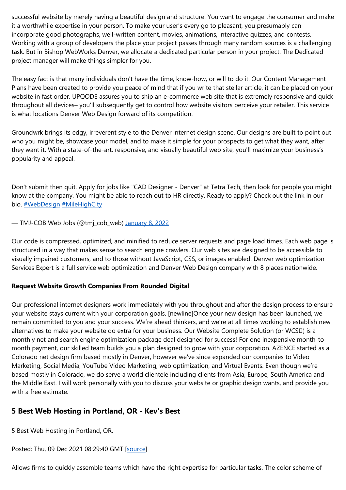successful website by merely having a beautiful design and structure. You want to engage the consumer and make it a worthwhile expertise in your person. To make your user's every go to pleasant, you presumably can incorporate good photographs, well-written content, movies, animations, interactive quizzes, and contests. Working with a group of developers the place your project passes through many random sources is a challenging task. But in Bishop WebWorks Denver, we allocate a dedicated particular person in your project. The Dedicated project manager will make things simpler for you.

The easy fact is that many individuals don't have the time, know-how, or will to do it. Our Content Management Plans have been created to provide you peace of mind that if you write that stellar article, it can be placed on your website in fast order. UPQODE assures you to ship an e-commerce web site that is extremely responsive and quick throughout all devices– you'll subsequently get to control how website visitors perceive your retailer. This service is what locations Denver Web Design forward of its competition.

Groundwrk brings its edgy, irreverent style to the Denver internet design scene. Our designs are built to point out who you might be, showcase your model, and to make it simple for your prospects to get what they want, after they want it. With a state-of-the-art, responsive, and visually beautiful web site, you'll maximize your business's popularity and appeal.

Don't submit then quit. Apply for jobs like "CAD Designer - Denver" at Tetra Tech, then look for people you might know at the company. You might be able to reach out to HR directly. Ready to apply? Check out the link in our bio. **[#WebDesign](https://twitter.com/hashtag/WebDesign?src=hash&ref_src=twsrc%5Etfw) [#MileHighCity](https://twitter.com/hashtag/MileHighCity?src=hash&ref_src=twsrc%5Etfw)** 

— TMJ-COB Web Jobs (@tmj\_cob\_web) [January](https://twitter.com/tmj_cob_web/status/1479964407434080256?ref_src=twsrc%5Etfw) 8, 2022

Our code is compressed, optimized, and minified to reduce server requests and page load times. Each web page is structured in a way that makes sense to search engine crawlers. Our web sites are designed to be accessible to visually impaired customers, and to those without JavaScript, CSS, or images enabled. Denver web optimization Services Expert is a full service web optimization and Denver Web Design company with 8 places nationwide.

#### **Request Website Growth Companies From Rounded Digital**

Our professional internet designers work immediately with you throughout and after the design process to ensure your website stays current with your corporation goals. [newline]Once your new design has been launched, we remain committed to you and your success. We're ahead thinkers, and we're at all times working to establish new alternatives to make your website do extra for your business. Our Website Complete Solution (or WCSI) is a monthly net and search engine optimization package deal designed for success! For one inexpensive month-tomonth payment, our skilled team builds you a plan designed to grow with your corporation. AZENCE started as a Colorado net design firm based mostly in Denver, however we've since expanded our companies to Video Marketing, Social Media, YouTube Video Marketing, web optimization, and Virtual Events. Even though we're based mostly in Colorado, we do serve a world clientele including clients from Asia, Europe, South America and the Middle East. I will work personally with you to discuss your website or graphic design wants, and provide you with a free estimate.

## **5 Best Web Hosting in Portland, OR - Kev's Best**

5 Best Web Hosting in Portland, OR.

Posted: Thu, 09 Dec 2021 08:29:40 GMT [\[source](https://kevsbest.com/best-web-hosting-in-portland-or/)]

Allows firms to quickly assemble teams which have the right expertise for particular tasks. The color scheme of